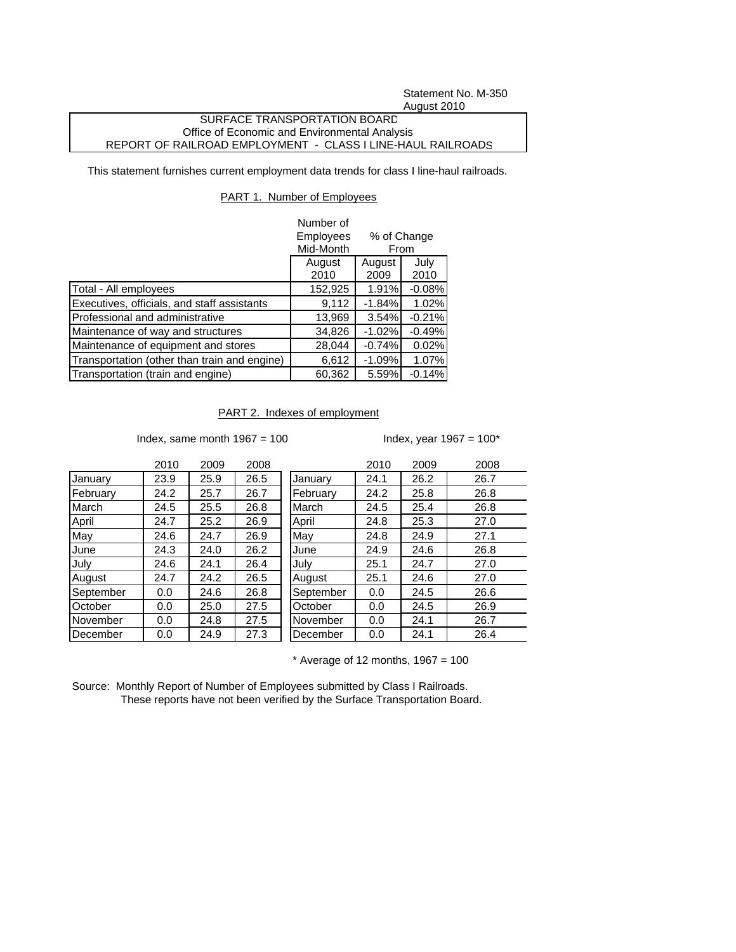Statement No. M-350 August 2010

## SURFACE TRANSPORTATION BOARD Office of Economic and Environmental Analysis REPORT OF RAILROAD EMPLOYMENT - CLASS I LINE-HAUL RAILROADS

This statement furnishes current employment data trends for class I line-haul railroads.

## PART 1. Number of Employees

|                                              | Number of<br>% of Change<br><b>Employees</b><br>Mid-Month<br>From |                |              |
|----------------------------------------------|-------------------------------------------------------------------|----------------|--------------|
|                                              | August<br>2010                                                    | August<br>2009 | July<br>2010 |
| Total - All employees                        | 152,925                                                           | 1.91%          | $-0.08%$     |
| Executives, officials, and staff assistants  | 9,112                                                             | $-1.84%$       | 1.02%        |
| Professional and administrative              | 13,969                                                            | 3.54%          | $-0.21%$     |
| Maintenance of way and structures            | 34,826                                                            | $-1.02%$       | $-0.49%$     |
| Maintenance of equipment and stores          | 28,044                                                            | $-0.74%$       | 0.02%        |
| Transportation (other than train and engine) | 6,612                                                             | $-1.09%$       | 1.07%        |
| Transportation (train and engine)            | 60,362                                                            | 5.59%          | $-0.14%$     |

PART 2. Indexes of employment

Index, same month  $1967 = 100$  Index, year  $1967 = 100^*$ 

|           | 2010 | 2009 | 2008 |           | 2010 | 2009 | 2008 |
|-----------|------|------|------|-----------|------|------|------|
| January   | 23.9 | 25.9 | 26.5 | January   | 24.1 | 26.2 | 26.7 |
| February  | 24.2 | 25.7 | 26.7 | February  | 24.2 | 25.8 | 26.8 |
| March     | 24.5 | 25.5 | 26.8 | March     | 24.5 | 25.4 | 26.8 |
| April     | 24.7 | 25.2 | 26.9 | April     | 24.8 | 25.3 | 27.0 |
| May       | 24.6 | 24.7 | 26.9 | May       | 24.8 | 24.9 | 27.1 |
| June      | 24.3 | 24.0 | 26.2 | June      | 24.9 | 24.6 | 26.8 |
| July      | 24.6 | 24.1 | 26.4 | July      | 25.1 | 24.7 | 27.0 |
| August    | 24.7 | 24.2 | 26.5 | August    | 25.1 | 24.6 | 27.0 |
| September | 0.0  | 24.6 | 26.8 | September | 0.0  | 24.5 | 26.6 |
| October   | 0.0  | 25.0 | 27.5 | October   | 0.0  | 24.5 | 26.9 |
| November  | 0.0  | 24.8 | 27.5 | November  | 0.0  | 24.1 | 26.7 |
| December  | 0.0  | 24.9 | 27.3 | December  | 0.0  | 24.1 | 26.4 |

 $*$  Average of 12 months, 1967 = 100

Source: Monthly Report of Number of Employees submitted by Class I Railroads. These reports have not been verified by the Surface Transportation Board.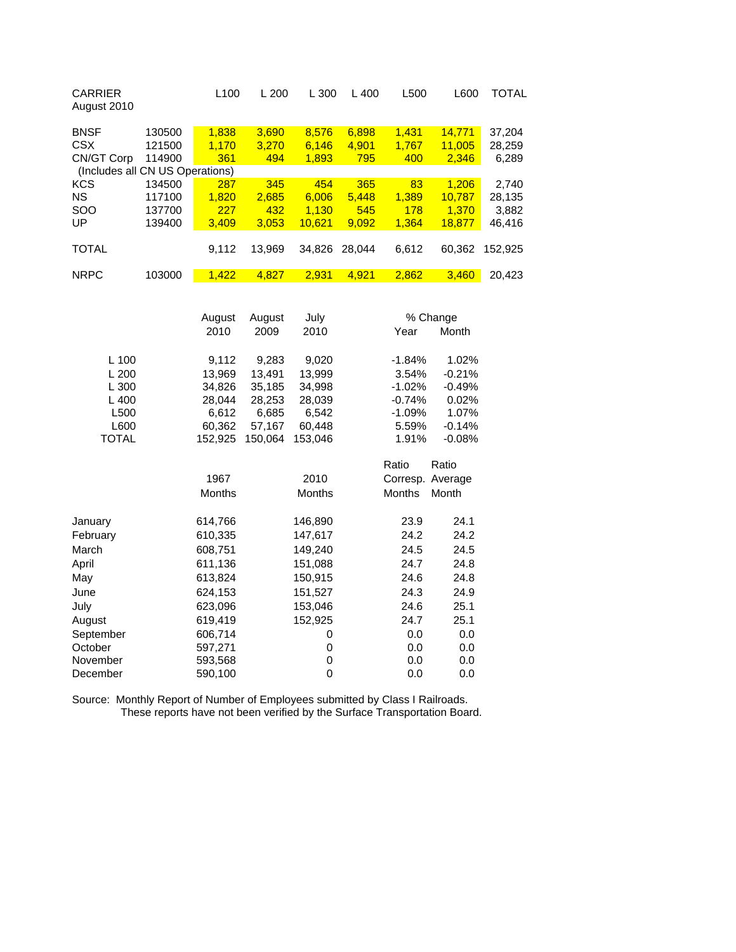| <b>CARRIER</b><br>August 2010   |        | L <sub>100</sub> | L200   | L300   | $L$ 400 | L <sub>500</sub> | L600   | TOTAL   |  |
|---------------------------------|--------|------------------|--------|--------|---------|------------------|--------|---------|--|
| <b>BNSF</b>                     | 130500 | 1,838            | 3,690  | 8,576  | 6,898   | 1,431            | 14.771 | 37,204  |  |
| <b>CSX</b>                      | 121500 | 1.170            | 3,270  | 6,146  | 4,901   | 1,767            | 11,005 | 28,259  |  |
| CN/GT Corp                      | 114900 | 361              | 494    | 1,893  | 795     | 400              | 2,346  | 6,289   |  |
| (Includes all CN US Operations) |        |                  |        |        |         |                  |        |         |  |
| <b>KCS</b>                      | 134500 | 287              | 345    | 454    | 365     | 83               | 1.206  | 2,740   |  |
| <b>NS</b>                       | 117100 | 1.820            | 2,685  | 6.006  | 5.448   | 1,389            | 10.787 | 28,135  |  |
| <b>SOO</b>                      | 137700 | 227              | 432    | 1.130  | 545     | 178              | 1.370  | 3,882   |  |
| UP                              | 139400 | 3,409            | 3,053  | 10.621 | 9.092   | 1.364            | 18.877 | 46,416  |  |
|                                 |        |                  |        |        |         |                  |        |         |  |
| <b>TOTAL</b>                    |        | 9,112            | 13.969 | 34.826 | 28.044  | 6,612            | 60.362 | 152.925 |  |
|                                 |        |                  |        |        |         |                  |        |         |  |
| <b>NRPC</b>                     | 103000 | 1.422            | 4.827  | 2.931  | 4.921   | 2.862            | 3.460  | 20.423  |  |

|                  | August        | August  | July          |           | % Change         |  |
|------------------|---------------|---------|---------------|-----------|------------------|--|
|                  | 2010          | 2009    | 2010          | Year      | Month            |  |
| L 100            | 9,112         | 9,283   | 9,020         | -1.84%    | 1.02%            |  |
| L200             | 13,969        | 13,491  | 13,999        | 3.54%     | $-0.21%$         |  |
| L 300            | 34,826        | 35,185  | 34,998        | $-1.02%$  | $-0.49%$         |  |
| $L$ 400          | 28,044        | 28,253  | 28,039        | $-0.74%$  | 0.02%            |  |
| L <sub>500</sub> | 6,612         | 6,685   | 6,542         | $-1.09\%$ | 1.07%            |  |
| L600             | 60,362        | 57,167  | 60,448        | 5.59%     | $-0.14%$         |  |
| <b>TOTAL</b>     | 152,925       | 150,064 | 153,046       | 1.91%     | $-0.08%$         |  |
|                  |               |         |               | Ratio     | Ratio            |  |
|                  | 1967          |         | 2010          |           | Corresp. Average |  |
|                  | <b>Months</b> |         | <b>Months</b> | Months    | Month            |  |
| January          | 614,766       |         | 146,890       | 23.9      | 24.1             |  |
| February         | 610,335       |         | 147,617       | 24.2      | 24.2             |  |
| March            | 608,751       |         | 149,240       | 24.5      | 24.5             |  |
| April            | 611,136       |         | 151,088       | 24.7      | 24.8             |  |
| May              | 613,824       |         | 150,915       | 24.6      | 24.8             |  |
| June             | 624,153       |         | 151,527       | 24.3      | 24.9             |  |
| July             | 623,096       |         | 153,046       | 24.6      | 25.1             |  |
| August           | 619,419       |         | 152,925       | 24.7      | 25.1             |  |
| September        | 606,714       |         | 0             | 0.0       | 0.0              |  |
| October          | 597,271       |         | 0             | 0.0       | 0.0              |  |
| November         | 593,568       |         | 0             | 0.0       | 0.0              |  |
| December         | 590,100       |         | $\mathbf 0$   | 0.0       | 0.0              |  |

Source: Monthly Report of Number of Employees submitted by Class I Railroads. These reports have not been verified by the Surface Transportation Board.